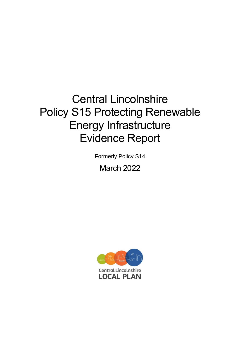# Central Lincolnshire Policy S15 Protecting Renewable Energy Infrastructure Evidence Report

Formerly Policy S14

March 2022

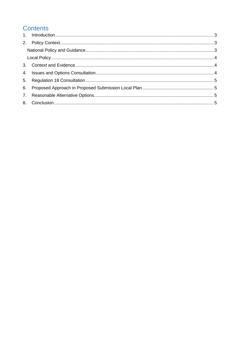# **Contents**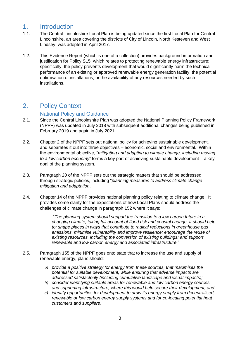## <span id="page-2-0"></span>1. Introduction

- 1.1. The Central Lincolnshire Local Plan is being updated since the first Local Plan for Central Lincolnshire, an area covering the districts of City of Lincoln, North Kesteven and West Lindsey, was adopted in April 2017.
- 1.2. This Evidence Report (which is one of a collection) provides background information and justification for Policy S15, which relates to protecting renewable energy infrastructure: specifically, the policy prevents development that would significantly harm the technical performance of an existing or approved renewable energy generation facility; the potential optimisation of installations; or the availability of any resources needed by such installations.

## <span id="page-2-1"></span>2. Policy Context

#### National Policy and Guidance

- <span id="page-2-2"></span>2.1. Since the Central Lincolnshire Plan was adopted the National Planning Policy Framework (NPPF) was updated in July 2018 with subsequent additional changes being published in February 2019 and again in July 2021.
- 2.2. Chapter 2 of the NPPF sets out national policy for achieving sustainable development, and separates it out into three objectives – economic, social and environmental. Within the environmental objective, "*mitigating and adapting to climate change, including moving to a low carbon economy*" forms a key part of achieving sustainable development – a key goal of the planning system.
- 2.3. Paragraph 20 of the NPPF sets out the strategic matters that should be addressed through strategic policies, including "*planning measures to address climate change mitigation and adaptation*."
- 2.4. Chapter 14 of the NPPF provides national planning policy relating to climate change. It provides some clarity for the expectations of how Local Plans should address the challenges of climate change in paragraph 152 where it says:

"*The planning system should support the transition to a low carbon future in a changing climate, taking full account of flood risk and coastal change. It should help to: shape places in ways that contribute to radical reductions in greenhouse gas emissions, minimise vulnerability and improve resilience; encourage the reuse of existing resources, including the conversion of existing buildings; and support renewable and low carbon energy and associated infrastructure.*"

- 2.5. Paragraph 155 of the NPPF goes onto state that to increase the use and supply of renewable energy, plans should:
	- *a) provide a positive strategy for energy from these sources, that maximises the potential for suitable development, while ensuring that adverse impacts are addressed satisfactorily (including cumulative landscape and visual impacts);*
	- *b) consider identifying suitable areas for renewable and low carbon energy sources, and supporting infrastructure, where this would help secure their development; and*
	- *c) identify opportunities for development to draw its energy supply from decentralised, renewable or low carbon energy supply systems and for co-locating potential heat customers and suppliers.*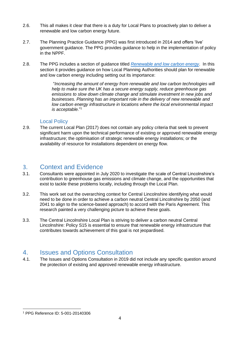- 2.6. This all makes it clear that there is a duty for Local Plans to proactively plan to deliver a renewable and low carbon energy future.
- 2.7. The Planning Practice Guidance (PPG) was first introduced in 2014 and offers 'live' government guidance. The PPG provides guidance to help in the implementation of policy in the NPPF.
- 2.8. The PPG includes a section of guidance titled *[Renewable and low carbon energy](https://www.gov.uk/guidance/renewable-and-low-carbon-energy)*. In this section it provides guidance on how Local Planning Authorities should plan for renewable and low carbon energy including setting out its importance:

"*Increasing the amount of energy from renewable and low carbon technologies will help to make sure the UK has a secure energy supply, reduce greenhouse gas emissions to slow down climate change and stimulate investment in new jobs and businesses. Planning has an important role in the delivery of new renewable and low carbon energy infrastructure in locations where the local environmental impact is acceptable.*" 1

#### Local Policy

<span id="page-3-0"></span>2.9. The current Local Plan (2017) does not contain any policy criteria that seek to prevent significant harm upon the technical performance of existing or approved renewable energy infrastructure; the optimisation of strategic renewable energy installations; or the availability of resource for installations dependent on energy flow.

#### <span id="page-3-1"></span>3. Context and Evidence

- 3.1. Consultants were appointed in July 2020 to investigate the scale of Central Lincolnshire's contribution to greenhouse gas emissions and climate change, and the opportunities that exist to tackle these problems locally, including through the Local Plan.
- 3.2. This work set out the overarching context for Central Lincolnshire identifying what would need to be done in order to achieve a carbon neutral Central Lincolnshire by 2050 (and 2041 to align to the science-based approach) to accord with the Paris Agreement. This research painted a very challenging picture to achieve these goals.
- 3.3. The Central Lincolnshire Local Plan is striving to deliver a carbon neutral Central Lincolnshire: Policy S15 is essential to ensure that renewable energy infrastructure that contributes towards achievement of this goal is not jeopardised.

# <span id="page-3-2"></span>4. Issues and Options Consultation

4.1. The Issues and Options Consultation in 2019 did not include any specific question around the protection of existing and approved renewable energy infrastructure.

<sup>1</sup> PPG Reference ID: 5-001-20140306